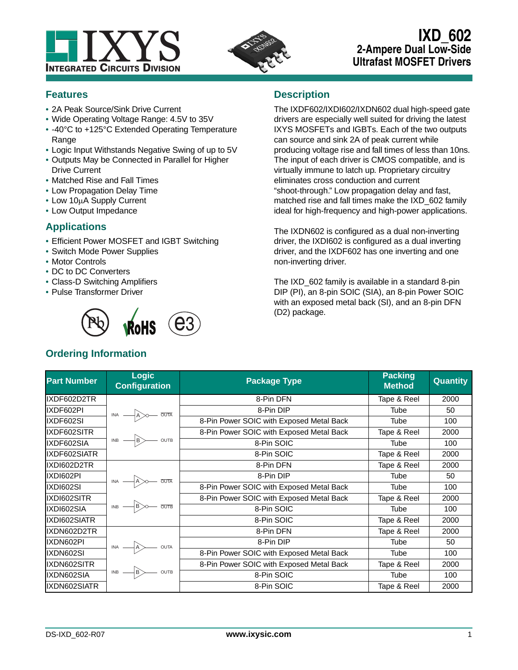



# **IXD\_602 2-Ampere Dual Low-Side Ultrafast MOSFET Drivers**

# **Features**

- **•** 2A Peak Source/Sink Drive Current
- **•** Wide Operating Voltage Range: 4.5V to 35V
- **•** -40°C to +125°C Extended Operating Temperature Range
- **•** Logic Input Withstands Negative Swing of up to 5V
- **•** Outputs May be Connected in Parallel for Higher Drive Current
- **•** Matched Rise and Fall Times
- **•** Low Propagation Delay Time
- Low 10µA Supply Current
- **•** Low Output Impedance

# **Applications**

- **•** Efficient Power MOSFET and IGBT Switching
- **•** Switch Mode Power Supplies
- **•** Motor Controls
- **•** DC to DC Converters
- **•** Class-D Switching Amplifiers
- **•** Pulse Transformer Driver



# **Ordering Information**

## **Description**

The IXDF602/IXDI602/IXDN602 dual high-speed gate drivers are especially well suited for driving the latest IXYS MOSFETs and IGBTs. Each of the two outputs can source and sink 2A of peak current while producing voltage rise and fall times of less than 10ns. The input of each driver is CMOS compatible, and is virtually immune to latch up. Proprietary circuitry eliminates cross conduction and current "shoot-through." Low propagation delay and fast, matched rise and fall times make the IXD\_602 family ideal for high-frequency and high-power applications.

The IXDN602 is configured as a dual non-inverting driver, the IXDI602 is configured as a dual inverting driver, and the IXDF602 has one inverting and one non-inverting driver.

The IXD\_602 family is available in a standard 8-pin DIP (PI), an 8-pin SOIC (SIA), an 8-pin Power SOIC with an exposed metal back (SI), and an 8-pin DFN (D2) package.

| <b>Part Number</b> | <b>Logic</b><br><b>Configuration</b>                                  | <b>Package Type</b>                      | <b>Packing</b><br><b>Method</b> | <b>Quantity</b> |
|--------------------|-----------------------------------------------------------------------|------------------------------------------|---------------------------------|-----------------|
| IXDF602D2TR        |                                                                       | 8-Pin DFN                                | Tape & Reel                     | 2000            |
| IXDF602PI          | $\overline{N}$ $\overline{A}$ $\overline{OUTA}$                       | 8-Pin DIP                                | Tube                            | 50              |
| IXDF602SI          |                                                                       | 8-Pin Power SOIC with Exposed Metal Back | Tube                            | 100             |
| IXDF602SITR        |                                                                       | 8-Pin Power SOIC with Exposed Metal Back | Tape & Reel                     | 2000            |
| IXDF602SIA         | $\overline{BB}$ $\longrightarrow$ $\overline{B}$ outb                 | 8-Pin SOIC                               | Tube                            | 100             |
| IXDF602SIATR       |                                                                       | 8-Pin SOIC                               | Tape & Reel                     | 2000            |
| IXDI602D2TR        |                                                                       | 8-Pin DFN                                | Tape & Reel                     | 2000            |
| IXDI602PI          | $INA$ $\longrightarrow$ $A$ $\rightarrow$ $\overline{OUTA}$           | 8-Pin DIP                                | Tube                            | 50              |
| IXDI602SI          |                                                                       | 8-Pin Power SOIC with Exposed Metal Back | Tube                            | 100             |
| IXDI602SITR        |                                                                       | 8-Pin Power SOIC with Exposed Metal Back | Tape & Reel                     | 2000            |
| IXDI602SIA         | $INB$ $\rightarrow$ $B$ $\rightarrow$ $\rightarrow$ $\overline{OUTB}$ | 8-Pin SOIC                               | Tube                            | 100             |
| IXDI602SIATR       |                                                                       | 8-Pin SOIC                               | Tape & Reel                     | 2000            |
| IXDN602D2TR        |                                                                       | 8-Pin DFN                                | Tape & Reel                     | 2000            |
| IXDN602PI          | $INA$ $\longrightarrow$ $A$ $\longrightarrow$ outa                    | 8-Pin DIP                                | Tube                            | 50              |
| IXDN602SI          |                                                                       | 8-Pin Power SOIC with Exposed Metal Back | Tube                            | 100             |
| IXDN602SITR        |                                                                       | 8-Pin Power SOIC with Exposed Metal Back | Tape & Reel                     | 2000            |
| IXDN602SIA         | $INB$ $\longrightarrow$ B $\longrightarrow$ OUTB                      | 8-Pin SOIC                               | Tube                            | 100             |
| IXDN602SIATR       |                                                                       | 8-Pin SOIC                               | Tape & Reel                     | 2000            |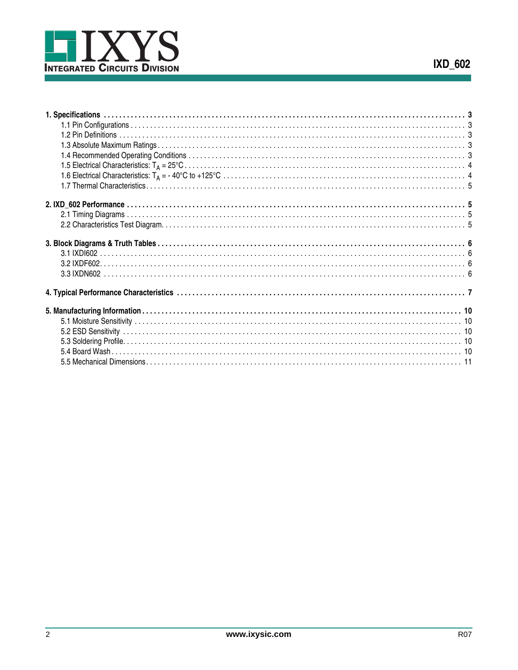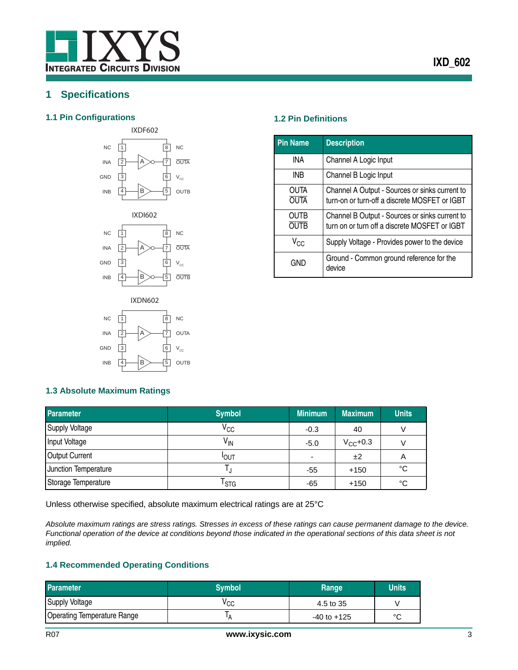# <span id="page-2-0"></span>**1 Specifications**

## <span id="page-2-1"></span>**1.1 Pin Configurations 1.2 Pin Definitions**









<span id="page-2-2"></span>

| <b>Pin Name</b>     | <b>Description</b>                                                                              |
|---------------------|-------------------------------------------------------------------------------------------------|
| INA                 | Channel A Logic Input                                                                           |
| INB                 | Channel B Logic Input                                                                           |
| OUTA<br><b>OUTA</b> | Channel A Output - Sources or sinks current to<br>turn-on or turn-off a discrete MOSFET or IGBT |
| <b>OUTB</b><br>outb | Channel B Output - Sources or sinks current to<br>turn on or turn off a discrete MOSFET or IGBT |
| V <sub>CC</sub>     | Supply Voltage - Provides power to the device                                                   |
| GND                 | Ground - Common ground reference for the<br>device                                              |

## <span id="page-2-3"></span>**1.3 Absolute Maximum Ratings**

| <b>Parameter</b>      | <b>Symbol</b>               | <b>Minimum</b>           | <b>Maximum</b> | <b>Units</b> |
|-----------------------|-----------------------------|--------------------------|----------------|--------------|
| Supply Voltage        | $V_{\rm CC}$                | $-0.3$                   | 40             |              |
| Input Voltage         | V <sub>IN</sub>             | $-5.0$                   | $V_{CC}$ +0.3  |              |
| <b>Output Current</b> | <b>IOUT</b>                 | $\overline{\phantom{a}}$ | ±2             | A            |
| Junction Temperature  |                             | -55                      | $+150$         | °C           |
| Storage Temperature   | $\mathsf{r}_{\texttt{STG}}$ | -65                      | $+150$         | °C           |

Unless otherwise specified, absolute maximum electrical ratings are at 25°C

*Absolute maximum ratings are stress ratings. Stresses in excess of these ratings can cause permanent damage to the device. Functional operation of the device at conditions beyond those indicated in the operational sections of this data sheet is not implied.* 

## <span id="page-2-4"></span>**1.4 Recommended Operating Conditions**

| <b>Parameter</b>                   | <b>Symbol</b>   | Range           | <b>Units</b> |
|------------------------------------|-----------------|-----------------|--------------|
| <b>Supply Voltage</b>              | v <sub>CC</sub> | 4.5 to 35       |              |
| <b>Operating Temperature Range</b> | 'A              | $-40$ to $+125$ | $\sim$       |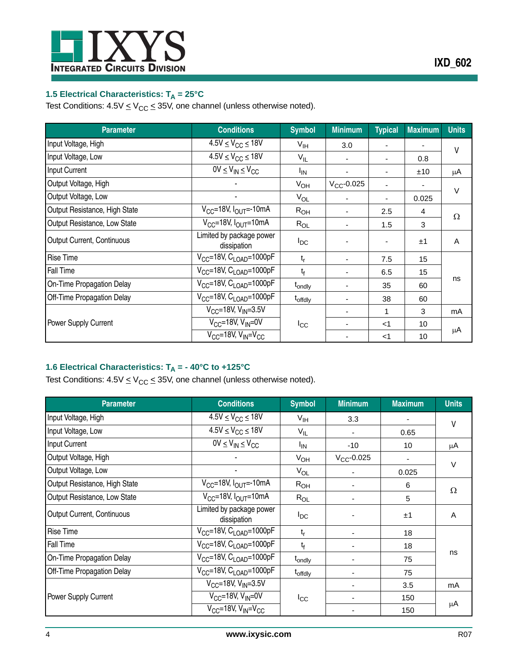

# <span id="page-3-0"></span>**1.5 Electrical Characteristics: T<sub>A</sub> = 25°C**

Test Conditions:  $4.5V \leq V_{CC} \leq 35V$ , one channel (unless otherwise noted).

| <b>Parameter</b>              | <b>Conditions</b>                        | <b>Symbol</b>         | <b>Minimum</b>  | <b>Typical</b> | <b>Maximum</b> | <b>Units</b> |
|-------------------------------|------------------------------------------|-----------------------|-----------------|----------------|----------------|--------------|
| Input Voltage, High           | $4.5V \leq V_{CC} \leq 18V$              | $V_{\text{IH}}$       | 3.0             |                |                | V            |
| Input Voltage, Low            | $4.5V \leq V_{CC} \leq 18V$              | $V_{IL}$              | ٠               |                | 0.8            |              |
| Input Current                 | $\overline{0}V \leq V_{IN} \leq V_{CC}$  | <b>I<sub>IN</sub></b> | ٠               |                | ±10            | μA           |
| Output Voltage, High          |                                          | $V_{OH}$              | $V_{CC}$ -0.025 |                |                | $\vee$       |
| Output Voltage, Low           |                                          | $V_{OL}$              |                 |                | 0.025          |              |
| Output Resistance, High State | $V_{CC}$ =18V, $I_{OUT}$ =-10mA          | $R_{OH}$              | ٠               | 2.5            | $\overline{4}$ | Ω            |
| Output Resistance, Low State  | $V_{CC}$ =18V, $I_{OUT}$ =10mA           | $R_{OL}$              | ٠               | 1.5            | 3              |              |
| Output Current, Continuous    | Limited by package power<br>dissipation  | $I_{DC}$              |                 |                | ±1             | A            |
| Rise Time                     | $V_{CC}$ =18V, C <sub>LOAD</sub> =1000pF | $t_{r}$               |                 | 7.5            | 15             |              |
| Fall Time                     | $V_{CC}$ =18V, $C_{LOAD}$ =1000pF        | $t_f$                 |                 | 6.5            | 15             |              |
| On-Time Propagation Delay     | $V_{CC}$ =18V, $C_{LOAD}$ =1000pF        | t <sub>ondly</sub>    |                 | 35             | 60             | ns           |
| Off-Time Propagation Delay    | $V_{CC}$ =18V, C <sub>LOAD</sub> =1000pF | t <sub>offdly</sub>   | ۰               | 38             | 60             |              |
|                               | $V_{CC}$ =18V, $V_{IN}$ =3.5V            |                       | ۰               | 1              | 3              | mA           |
| Power Supply Current          | $V_{CC}$ =18V, $V_{IN}$ =0V              | $_{\rm{ICC}}$         | ۰               | $<$ 1          | 10             |              |
|                               | $V_{CC}$ =18V, $V_{IN}$ = $V_{CC}$       |                       |                 | $<$ 1          | 10             | μA           |

## <span id="page-3-1"></span>**1.6 Electrical Characteristics: T<sub>A</sub> = - 40°C to +125°C**

Test Conditions:  $4.5V \leq V_{CC} \leq 35V$ , one channel (unless otherwise noted).

| <b>Parameter</b>                  | <b>Conditions</b>                        | <b>Symbol</b>       | <b>Minimum</b>  | <b>Maximum</b> | <b>Units</b> |
|-----------------------------------|------------------------------------------|---------------------|-----------------|----------------|--------------|
| Input Voltage, High               | $4.5V \leq V_{CC} \leq 18V$              | $V_{\text{IH}}$     | 3.3             |                | V            |
| Input Voltage, Low                | $4.5V \leq V_{CC} \leq 18V$              | $V_{IL}$            |                 | 0.65           |              |
| Input Current                     | $\overline{0V} \leq V_{IN} \leq V_{CC}$  | $I_{IN}$            | $-10$           | 10             | μA           |
| Output Voltage, High              |                                          | $V_{OH}$            | $V_{CC}$ -0.025 |                | $\vee$       |
| Output Voltage, Low               |                                          | $V_{OL}$            |                 | 0.025          |              |
| Output Resistance, High State     | $V_{CC}$ =18V, $I_{OUT}$ =-10mA          | R <sub>OH</sub>     |                 | 6              | Ω            |
| Output Resistance, Low State      | $V_{CC}$ =18V, $I_{OUT}$ =10mA           | $R_{OL}$            |                 | 5              |              |
| <b>Output Current, Continuous</b> | Limited by package power<br>dissipation  | $I_{DC}$            |                 | ±1             | A            |
| <b>Rise Time</b>                  | $V_{CC}$ =18V, $C_{LOAD}$ =1000pF        | $t_{r}$             |                 | 18             |              |
| Fall Time                         | $V_{CC}$ =18V, $C_{LOAD}$ =1000pF        | $t_{\rm f}$         |                 | 18             |              |
| On-Time Propagation Delay         | $V_{CC}$ =18V, C <sub>LOAD</sub> =1000pF | t <sub>ondly</sub>  |                 | 75             | ns           |
| Off-Time Propagation Delay        | $V_{CC}$ =18V, $C_{LOAD}$ =1000pF        | t <sub>offdly</sub> |                 | 75             |              |
|                                   | $V_{CC}$ =18V, $V_{IN}$ =3.5V            |                     |                 | 3.5            | mA           |
| Power Supply Current              | $V_{CC}$ =18V, $V_{IN}$ =0V              | $_{\rm{loc}}$       |                 | 150            |              |
|                                   | $V_{CC}$ =18V, $V_{IN}$ = $V_{CC}$       |                     |                 | 150            | μA           |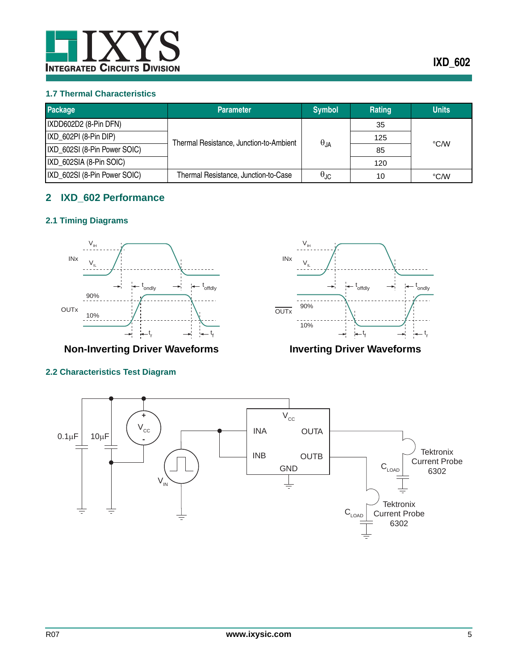

## <span id="page-4-0"></span>**1.7 Thermal Characteristics**

| Package                      | <b>Parameter</b>                        | <b>Symbol</b>        | Rating | <b>Units</b> |
|------------------------------|-----------------------------------------|----------------------|--------|--------------|
| IXDD602D2 (8-Pin DFN)        |                                         |                      | 35     | °C/W         |
| IXD 602PI (8-Pin DIP)        | Thermal Resistance, Junction-to-Ambient | $\theta_{JA}$        | 125    |              |
| IXD_602SI (8-Pin Power SOIC) |                                         |                      | 85     |              |
| IXD 602SIA (8-Pin SOIC)      |                                         |                      | 120    |              |
| IXD_602SI (8-Pin Power SOIC) | Thermal Resistance, Junction-to-Case    | $\theta_{\text{JC}}$ | 10     | °C/W         |

# <span id="page-4-1"></span>**2 IXD\_602 Performance**

# <span id="page-4-2"></span>**2.1 Timing Diagrams**



**Non-Inverting Driver Waveforms Inverting Driver Waveforms**

# <span id="page-4-3"></span>**2.2 Characteristics Test Diagram**



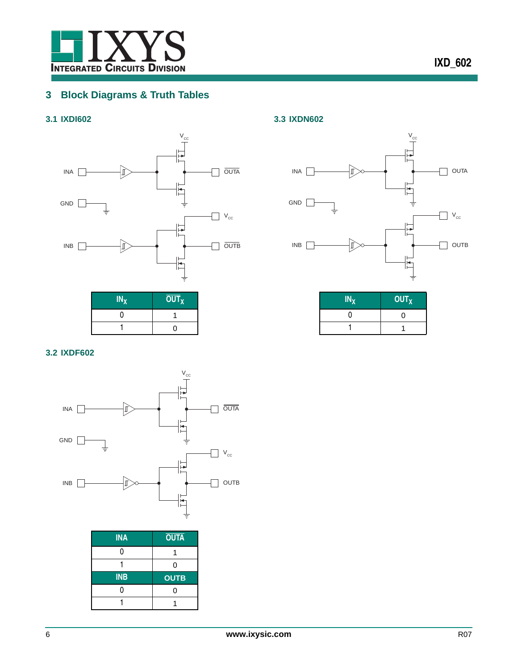

# <span id="page-5-0"></span>**3 Block Diagrams & Truth Tables**

# <span id="page-5-1"></span>**3.1 IXDI602**



 $IN_X$  **OUT**<sub>X</sub>  $0 \t 1$  $1$  0



<span id="page-5-3"></span>**3.3 IXDN602**

| $IN_X$ | OUT <sub>X</sub> |
|--------|------------------|
| n      | ∩                |
|        |                  |

## <span id="page-5-2"></span>**3.2 IXDF602**



| <b>INA</b> | <b>OUTA</b> |
|------------|-------------|
|            |             |
|            | 0           |
|            |             |
| <b>INB</b> | <b>OUTB</b> |
|            | ი           |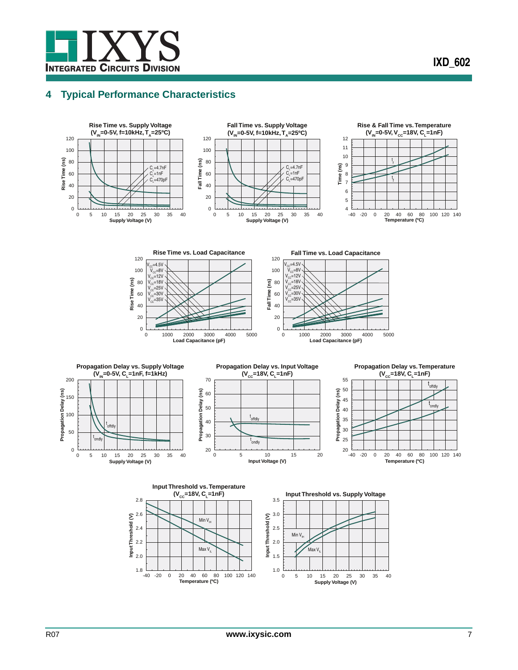# <span id="page-6-0"></span>**4 Typical Performance Characteristics**

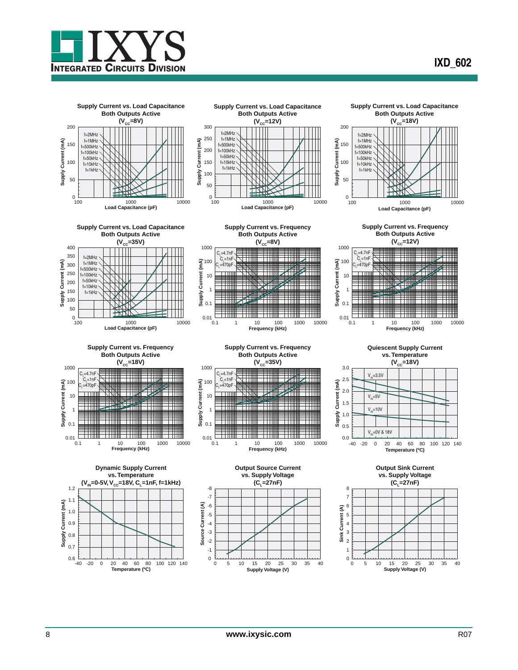

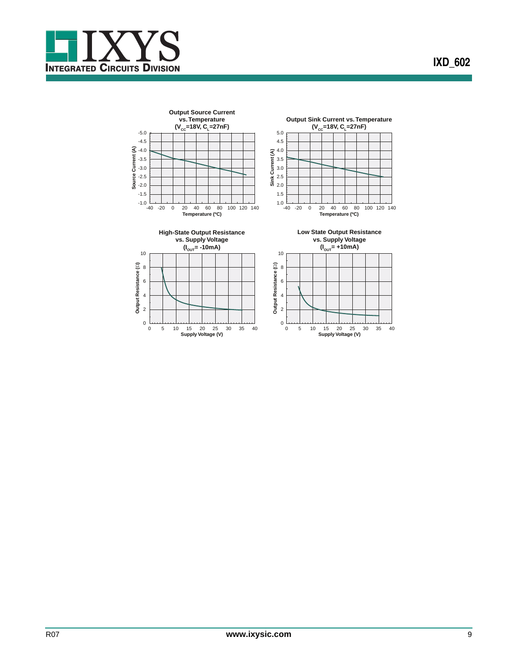

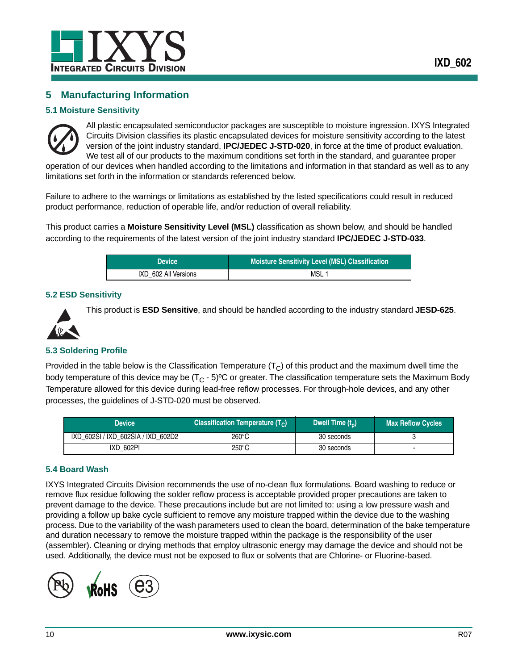

# <span id="page-9-0"></span>**5 Manufacturing Information**

## <span id="page-9-1"></span>**5.1 Moisture Sensitivity**



All plastic encapsulated semiconductor packages are susceptible to moisture ingression. IXYS Integrated Circuits Division classifies its plastic encapsulated devices for moisture sensitivity according to the latest version of the joint industry standard, **IPC/JEDEC J-STD-020**, in force at the time of product evaluation. We test all of our products to the maximum conditions set forth in the standard, and guarantee proper operation of our devices when handled according to the limitations and information in that standard as well as to any

limitations set forth in the information or standards referenced below.

Failure to adhere to the warnings or limitations as established by the listed specifications could result in reduced product performance, reduction of operable life, and/or reduction of overall reliability.

This product carries a **Moisture Sensitivity Level (MSL)** classification as shown below, and should be handled according to the requirements of the latest version of the joint industry standard **IPC/JEDEC J-STD-033**.

| <b>Device</b>        | Moisture Sensitivity Level (MSL) Classification |
|----------------------|-------------------------------------------------|
| IXD 602 All Versions | MSL                                             |

## <span id="page-9-2"></span>**5.2 ESD Sensitivity**



This product is **ESD Sensitive**, and should be handled according to the industry standard **JESD-625**.

## <span id="page-9-3"></span>**5.3 Soldering Profile**

Provided in the table below is the Classification Temperature  $(T<sub>C</sub>)$  of this product and the maximum dwell time the body temperature of this device may be  $(T<sub>C</sub> - 5)$ <sup>o</sup>C or greater. The classification temperature sets the Maximum Body Temperature allowed for this device during lead-free reflow processes. For through-hole devices, and any other processes, the guidelines of J-STD-020 must be observed.

| Device                             | <b>Classification Temperature (T<sub>c</sub>)</b> | Dwell Time $(t_n)$ | <b>Max Reflow Cycles</b> |
|------------------------------------|---------------------------------------------------|--------------------|--------------------------|
| IXD 602SI / IXD 602SIA / IXD 602D2 | $260^{\circ}$ C                                   | 30 seconds         |                          |
| IXD 602PI                          | 250°C                                             | 30 seconds         |                          |

## <span id="page-9-4"></span>**5.4 Board Wash**

IXYS Integrated Circuits Division recommends the use of no-clean flux formulations. Board washing to reduce or remove flux residue following the solder reflow process is acceptable provided proper precautions are taken to prevent damage to the device. These precautions include but are not limited to: using a low pressure wash and providing a follow up bake cycle sufficient to remove any moisture trapped within the device due to the washing process. Due to the variability of the wash parameters used to clean the board, determination of the bake temperature and duration necessary to remove the moisture trapped within the package is the responsibility of the user (assembler). Cleaning or drying methods that employ ultrasonic energy may damage the device and should not be used. Additionally, the device must not be exposed to flux or solvents that are Chlorine- or Fluorine-based.

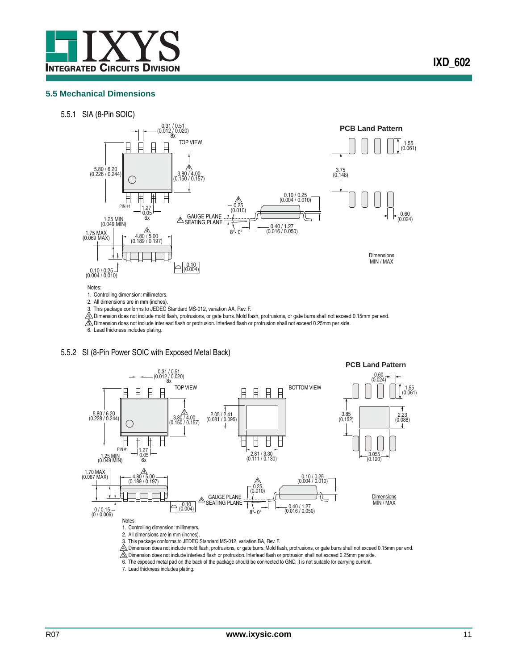

### <span id="page-10-0"></span>**5.5 Mechanical Dimensions**

5.5.1 SIA (8-Pin SOIC)



3. This package conforms to JEDEC Standard MS-012, variation AA, Rev. F.

4. Dimension does not include mold flash, protrusions, or gate burrs. Mold flash, protrusions, or gate burrs shall not exceed 0.15mm per end.

5. Dimension does not include interlead flash or protrusion. Interlead flash or protrusion shall not exceed 0.25mm per side.

6. Lead thickness includes plating.

### 5.5.2 SI (8-Pin Power SOIC with Exposed Metal Back)



4. Dimension does not include mold flash, protrusions, or gate burrs. Mold flash, protrusions, or gate burrs shall not exceed 0.15mm per end.

5. Dimension does not include interlead flash or protrusion. Interlead flash or protrusion shall not exceed 0.25mm per side.

6. The exposed metal pad on the back of the package should be connected to GND. It is not suitable for carrying current.

7. Lead thickness includes plating.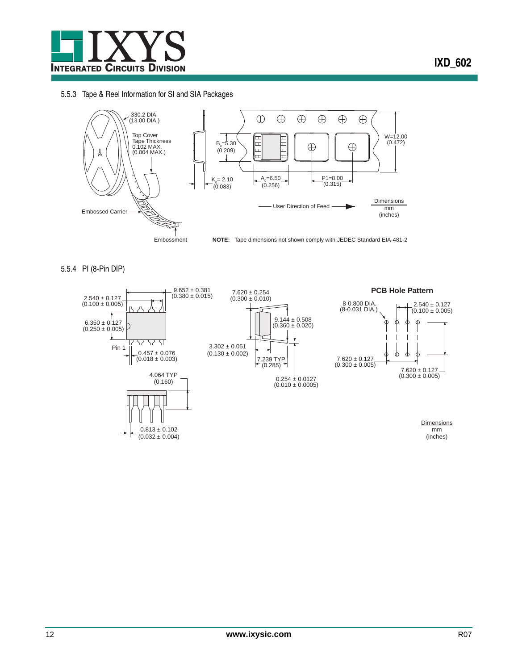

## 5.5.3 Tape & Reel Information for SI and SIA Packages



5.5.4 PI (8-Pin DIP)